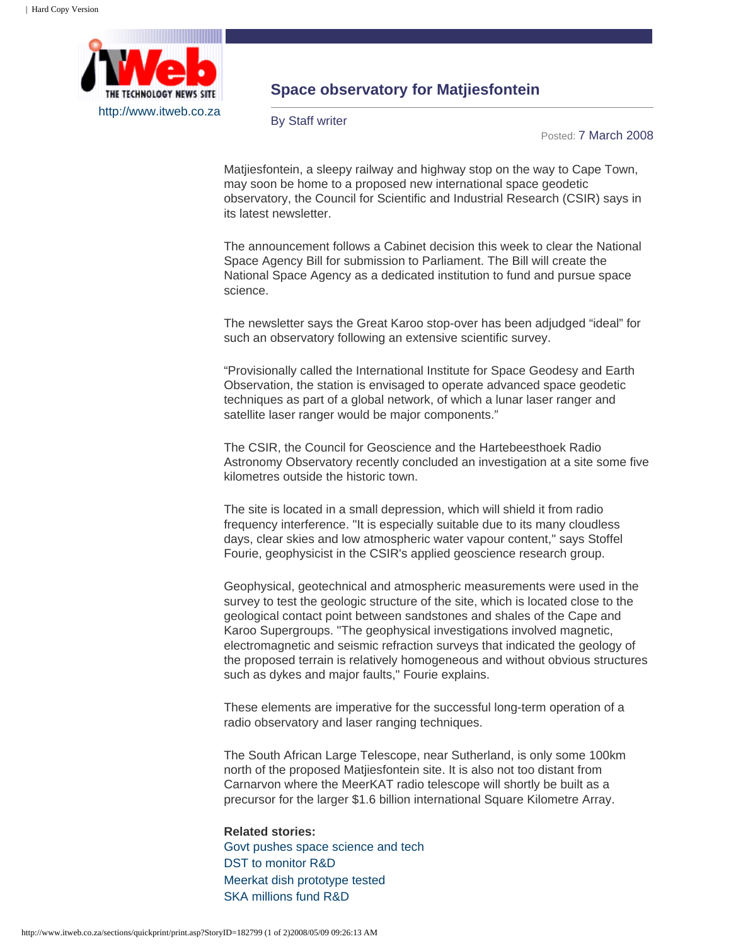

## **Space observatory for Matjiesfontein**

By Staff writer

Posted: 7 March 2008

Matjiesfontein, a sleepy railway and highway stop on the way to Cape Town, may soon be home to a proposed new international space geodetic observatory, the Council for Scientific and Industrial Research (CSIR) says in its latest newsletter.

The announcement follows a Cabinet decision this week to clear the National Space Agency Bill for submission to Parliament. The Bill will create the National Space Agency as a dedicated institution to fund and pursue space science.

The newsletter says the Great Karoo stop-over has been adjudged "ideal" for such an observatory following an extensive scientific survey.

"Provisionally called the International Institute for Space Geodesy and Earth Observation, the station is envisaged to operate advanced space geodetic techniques as part of a global network, of which a lunar laser ranger and satellite laser ranger would be major components."

The CSIR, the Council for Geoscience and the Hartebeesthoek Radio Astronomy Observatory recently concluded an investigation at a site some five kilometres outside the historic town.

The site is located in a small depression, which will shield it from radio frequency interference. "It is especially suitable due to its many cloudless days, clear skies and low atmospheric water vapour content," says Stoffel Fourie, geophysicist in the CSIR's applied geoscience research group.

Geophysical, geotechnical and atmospheric measurements were used in the survey to test the geologic structure of the site, which is located close to the geological contact point between sandstones and shales of the Cape and Karoo Supergroups. "The geophysical investigations involved magnetic, electromagnetic and seismic refraction surveys that indicated the geology of the proposed terrain is relatively homogeneous and without obvious structures such as dykes and major faults," Fourie explains.

These elements are imperative for the successful long-term operation of a radio observatory and laser ranging techniques.

The South African Large Telescope, near Sutherland, is only some 100km north of the proposed Matjiesfontein site. It is also not too distant from Carnarvon where the MeerKAT radio telescope will shortly be built as a precursor for the larger \$1.6 billion international Square Kilometre Array.

**Related stories:** [Govt pushes space science and tech](http://www.itweb.co.za/sections/business/2008/0802211034.asp) [DST to monitor R&D](http://www.itweb.co.za/sections/internet/2008/0802201032.asp) [Meerkat dish prototype tested](http://www.itweb.co.za/sections/business/2007/0710021034.asp) [SKA millions fund R&D](http://www.itweb.co.za/sections/business/2007/0705291034.asp)